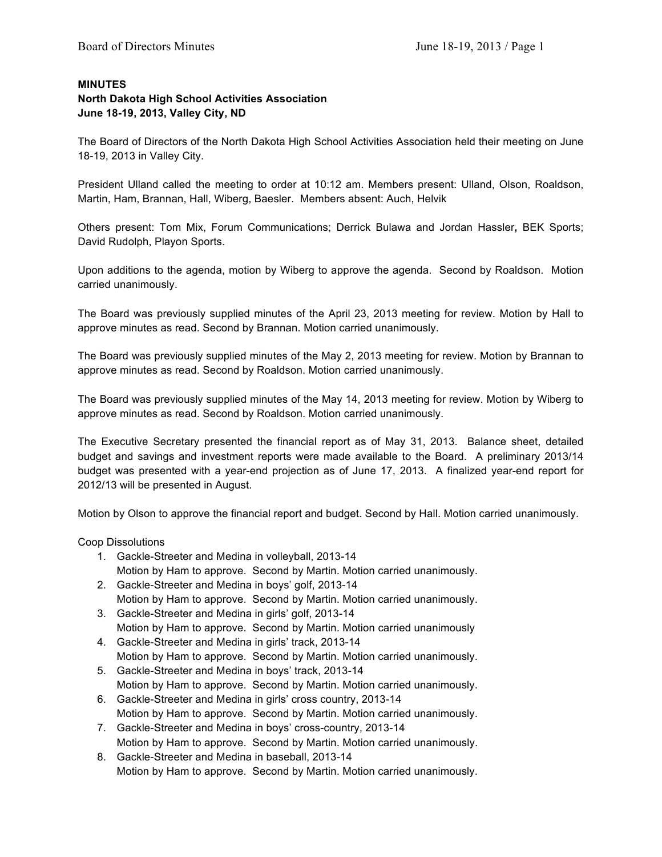## **MINUTES**

## **North Dakota High School Activities Association June 18-19, 2013, Valley City, ND**

The Board of Directors of the North Dakota High School Activities Association held their meeting on June 18-19, 2013 in Valley City.

President Ulland called the meeting to order at 10:12 am. Members present: Ulland, Olson, Roaldson, Martin, Ham, Brannan, Hall, Wiberg, Baesler. Members absent: Auch, Helvik

Others present: Tom Mix, Forum Communications; Derrick Bulawa and Jordan Hassler**,** BEK Sports; David Rudolph, Playon Sports.

Upon additions to the agenda, motion by Wiberg to approve the agenda. Second by Roaldson. Motion carried unanimously.

The Board was previously supplied minutes of the April 23, 2013 meeting for review. Motion by Hall to approve minutes as read. Second by Brannan. Motion carried unanimously.

The Board was previously supplied minutes of the May 2, 2013 meeting for review. Motion by Brannan to approve minutes as read. Second by Roaldson. Motion carried unanimously.

The Board was previously supplied minutes of the May 14, 2013 meeting for review. Motion by Wiberg to approve minutes as read. Second by Roaldson. Motion carried unanimously.

The Executive Secretary presented the financial report as of May 31, 2013. Balance sheet, detailed budget and savings and investment reports were made available to the Board. A preliminary 2013/14 budget was presented with a year-end projection as of June 17, 2013. A finalized year-end report for 2012/13 will be presented in August.

Motion by Olson to approve the financial report and budget. Second by Hall. Motion carried unanimously.

Coop Dissolutions

- 1. Gackle-Streeter and Medina in volleyball, 2013-14
- Motion by Ham to approve. Second by Martin. Motion carried unanimously.
- 2. Gackle-Streeter and Medina in boys' golf, 2013-14 Motion by Ham to approve. Second by Martin. Motion carried unanimously.
- 3. Gackle-Streeter and Medina in girls' golf, 2013-14 Motion by Ham to approve. Second by Martin. Motion carried unanimously
- 4. Gackle-Streeter and Medina in girls' track, 2013-14 Motion by Ham to approve. Second by Martin. Motion carried unanimously.
- 5. Gackle-Streeter and Medina in boys' track, 2013-14 Motion by Ham to approve. Second by Martin. Motion carried unanimously.
- 6. Gackle-Streeter and Medina in girls' cross country, 2013-14 Motion by Ham to approve. Second by Martin. Motion carried unanimously.
- 7. Gackle-Streeter and Medina in boys' cross-country, 2013-14 Motion by Ham to approve. Second by Martin. Motion carried unanimously.
- 8. Gackle-Streeter and Medina in baseball, 2013-14 Motion by Ham to approve. Second by Martin. Motion carried unanimously.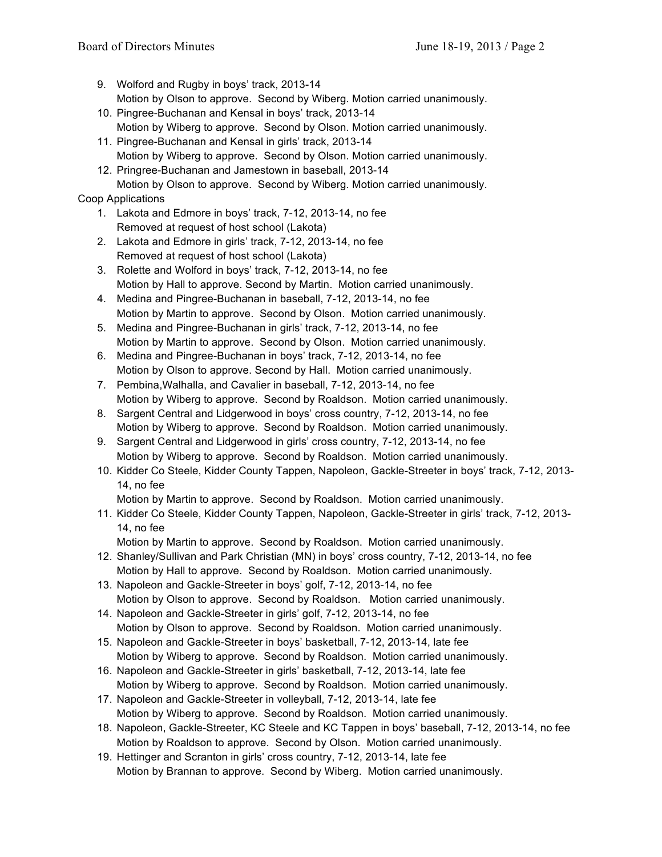- 9. Wolford and Rugby in boys' track, 2013-14 Motion by Olson to approve. Second by Wiberg. Motion carried unanimously.
- 10. Pingree-Buchanan and Kensal in boys' track, 2013-14 Motion by Wiberg to approve. Second by Olson. Motion carried unanimously.
- 11. Pingree-Buchanan and Kensal in girls' track, 2013-14 Motion by Wiberg to approve. Second by Olson. Motion carried unanimously.
- 12. Pringree-Buchanan and Jamestown in baseball, 2013-14 Motion by Olson to approve. Second by Wiberg. Motion carried unanimously.

## Coop Applications

- 1. Lakota and Edmore in boys' track, 7-12, 2013-14, no fee Removed at request of host school (Lakota)
- 2. Lakota and Edmore in girls' track, 7-12, 2013-14, no fee Removed at request of host school (Lakota)
- 3. Rolette and Wolford in boys' track, 7-12, 2013-14, no fee Motion by Hall to approve. Second by Martin. Motion carried unanimously.
- 4. Medina and Pingree-Buchanan in baseball, 7-12, 2013-14, no fee Motion by Martin to approve. Second by Olson. Motion carried unanimously.
- 5. Medina and Pingree-Buchanan in girls' track, 7-12, 2013-14, no fee Motion by Martin to approve. Second by Olson. Motion carried unanimously.
- 6. Medina and Pingree-Buchanan in boys' track, 7-12, 2013-14, no fee Motion by Olson to approve. Second by Hall. Motion carried unanimously.
- 7. Pembina,Walhalla, and Cavalier in baseball, 7-12, 2013-14, no fee Motion by Wiberg to approve. Second by Roaldson. Motion carried unanimously.
- 8. Sargent Central and Lidgerwood in boys' cross country, 7-12, 2013-14, no fee Motion by Wiberg to approve. Second by Roaldson. Motion carried unanimously.
- 9. Sargent Central and Lidgerwood in girls' cross country, 7-12, 2013-14, no fee Motion by Wiberg to approve. Second by Roaldson. Motion carried unanimously.
- 10. Kidder Co Steele, Kidder County Tappen, Napoleon, Gackle-Streeter in boys' track, 7-12, 2013- 14, no fee
	- Motion by Martin to approve. Second by Roaldson. Motion carried unanimously.
- 11. Kidder Co Steele, Kidder County Tappen, Napoleon, Gackle-Streeter in girls' track, 7-12, 2013- 14, no fee
	- Motion by Martin to approve. Second by Roaldson. Motion carried unanimously.
- 12. Shanley/Sullivan and Park Christian (MN) in boys' cross country, 7-12, 2013-14, no fee Motion by Hall to approve. Second by Roaldson. Motion carried unanimously.
- 13. Napoleon and Gackle-Streeter in boys' golf, 7-12, 2013-14, no fee Motion by Olson to approve. Second by Roaldson. Motion carried unanimously.
- 14. Napoleon and Gackle-Streeter in girls' golf, 7-12, 2013-14, no fee Motion by Olson to approve. Second by Roaldson. Motion carried unanimously.
- 15. Napoleon and Gackle-Streeter in boys' basketball, 7-12, 2013-14, late fee Motion by Wiberg to approve. Second by Roaldson. Motion carried unanimously.
- 16. Napoleon and Gackle-Streeter in girls' basketball, 7-12, 2013-14, late fee Motion by Wiberg to approve. Second by Roaldson. Motion carried unanimously.
- 17. Napoleon and Gackle-Streeter in volleyball, 7-12, 2013-14, late fee Motion by Wiberg to approve. Second by Roaldson. Motion carried unanimously.
- 18. Napoleon, Gackle-Streeter, KC Steele and KC Tappen in boys' baseball, 7-12, 2013-14, no fee Motion by Roaldson to approve. Second by Olson. Motion carried unanimously.
- 19. Hettinger and Scranton in girls' cross country, 7-12, 2013-14, late fee Motion by Brannan to approve. Second by Wiberg. Motion carried unanimously.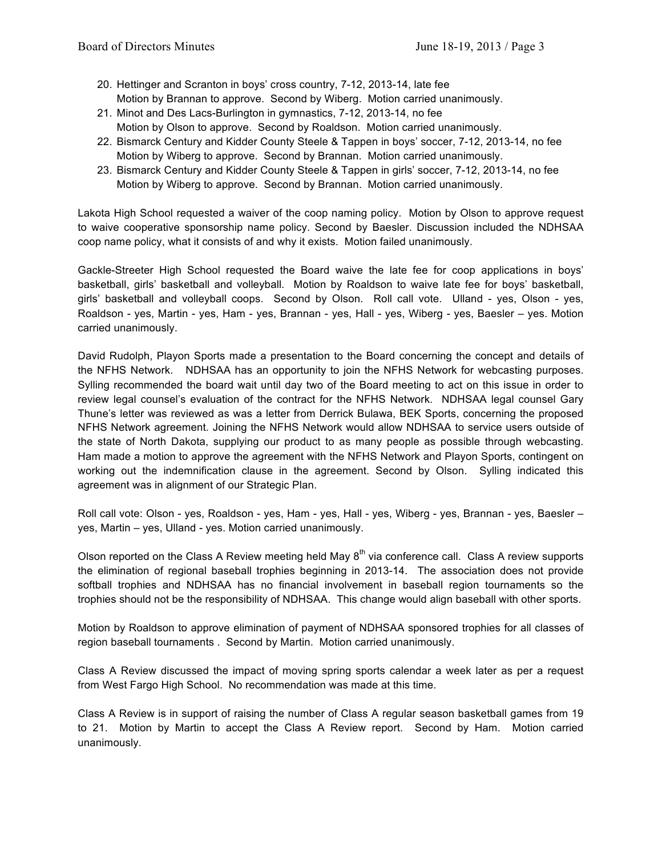- 20. Hettinger and Scranton in boys' cross country, 7-12, 2013-14, late fee Motion by Brannan to approve. Second by Wiberg. Motion carried unanimously.
- 21. Minot and Des Lacs-Burlington in gymnastics, 7-12, 2013-14, no fee Motion by Olson to approve. Second by Roaldson. Motion carried unanimously.
- 22. Bismarck Century and Kidder County Steele & Tappen in boys' soccer, 7-12, 2013-14, no fee Motion by Wiberg to approve. Second by Brannan. Motion carried unanimously.
- 23. Bismarck Century and Kidder County Steele & Tappen in girls' soccer, 7-12, 2013-14, no fee Motion by Wiberg to approve. Second by Brannan. Motion carried unanimously.

Lakota High School requested a waiver of the coop naming policy. Motion by Olson to approve request to waive cooperative sponsorship name policy. Second by Baesler. Discussion included the NDHSAA coop name policy, what it consists of and why it exists. Motion failed unanimously.

Gackle-Streeter High School requested the Board waive the late fee for coop applications in boys' basketball, girls' basketball and volleyball. Motion by Roaldson to waive late fee for boys' basketball, girls' basketball and volleyball coops. Second by Olson. Roll call vote. Ulland - yes, Olson - yes, Roaldson - yes, Martin - yes, Ham - yes, Brannan - yes, Hall - yes, Wiberg - yes, Baesler – yes. Motion carried unanimously.

David Rudolph, Playon Sports made a presentation to the Board concerning the concept and details of the NFHS Network. NDHSAA has an opportunity to join the NFHS Network for webcasting purposes. Sylling recommended the board wait until day two of the Board meeting to act on this issue in order to review legal counsel's evaluation of the contract for the NFHS Network. NDHSAA legal counsel Gary Thune's letter was reviewed as was a letter from Derrick Bulawa, BEK Sports, concerning the proposed NFHS Network agreement. Joining the NFHS Network would allow NDHSAA to service users outside of the state of North Dakota, supplying our product to as many people as possible through webcasting. Ham made a motion to approve the agreement with the NFHS Network and Playon Sports, contingent on working out the indemnification clause in the agreement. Second by Olson. Sylling indicated this agreement was in alignment of our Strategic Plan.

Roll call vote: Olson - yes, Roaldson - yes, Ham - yes, Hall - yes, Wiberg - yes, Brannan - yes, Baesler – yes, Martin – yes, Ulland - yes. Motion carried unanimously.

Olson reported on the Class A Review meeting held May  $8<sup>th</sup>$  via conference call. Class A review supports the elimination of regional baseball trophies beginning in 2013-14. The association does not provide softball trophies and NDHSAA has no financial involvement in baseball region tournaments so the trophies should not be the responsibility of NDHSAA. This change would align baseball with other sports.

Motion by Roaldson to approve elimination of payment of NDHSAA sponsored trophies for all classes of region baseball tournaments . Second by Martin. Motion carried unanimously.

Class A Review discussed the impact of moving spring sports calendar a week later as per a request from West Fargo High School. No recommendation was made at this time.

Class A Review is in support of raising the number of Class A regular season basketball games from 19 to 21. Motion by Martin to accept the Class A Review report. Second by Ham. Motion carried unanimously.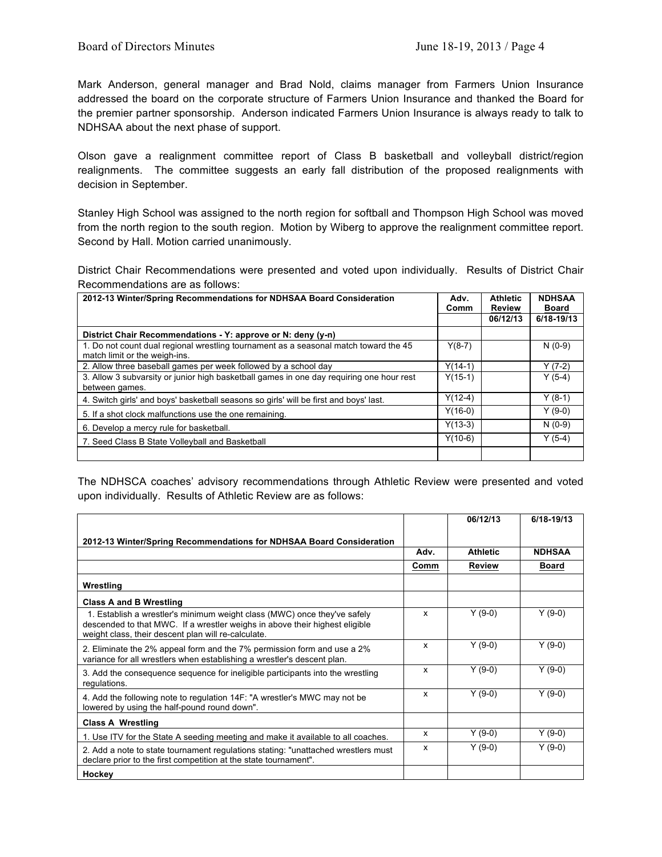Mark Anderson, general manager and Brad Nold, claims manager from Farmers Union Insurance addressed the board on the corporate structure of Farmers Union Insurance and thanked the Board for the premier partner sponsorship. Anderson indicated Farmers Union Insurance is always ready to talk to NDHSAA about the next phase of support.

Olson gave a realignment committee report of Class B basketball and volleyball district/region realignments. The committee suggests an early fall distribution of the proposed realignments with decision in September.

Stanley High School was assigned to the north region for softball and Thompson High School was moved from the north region to the south region. Motion by Wiberg to approve the realignment committee report. Second by Hall. Motion carried unanimously.

District Chair Recommendations were presented and voted upon individually. Results of District Chair Recommendations are as follows:

| 2012-13 Winter/Spring Recommendations for NDHSAA Board Consideration                                                  | Adv.<br>Comm | <b>Athletic</b><br><b>Review</b> | <b>NDHSAA</b><br>Board |  |
|-----------------------------------------------------------------------------------------------------------------------|--------------|----------------------------------|------------------------|--|
|                                                                                                                       |              | 06/12/13                         | 6/18-19/13             |  |
| District Chair Recommendations - Y: approve or N: deny (y-n)                                                          |              |                                  |                        |  |
| 1. Do not count dual regional wrestling tournament as a seasonal match toward the 45<br>match limit or the weigh-ins. | $Y(8-7)$     |                                  | $N(0-9)$               |  |
| 2. Allow three baseball games per week followed by a school day                                                       | $Y(14-1)$    |                                  | $Y(7-2)$               |  |
| 3. Allow 3 subvarsity or junior high basketball games in one day requiring one hour rest<br>between games.            | $Y(15-1)$    |                                  | $Y(5-4)$               |  |
| 4. Switch girls' and boys' basketball seasons so girls' will be first and boys' last.                                 | $Y(12-4)$    |                                  | $Y(8-1)$               |  |
| 5. If a shot clock malfunctions use the one remaining.                                                                | $Y(16-0)$    |                                  | $Y(9-0)$               |  |
| 6. Develop a mercy rule for basketball.                                                                               | $Y(13-3)$    |                                  | $N(0-9)$               |  |
| 7. Seed Class B State Volleyball and Basketball                                                                       | $Y(10-6)$    |                                  | $Y(5-4)$               |  |
|                                                                                                                       |              |                                  |                        |  |

The NDHSCA coaches' advisory recommendations through Athletic Review were presented and voted upon individually. Results of Athletic Review are as follows:

|                                                                                                                                                                                                                |      | 06/12/13        | 6/18-19/13    |
|----------------------------------------------------------------------------------------------------------------------------------------------------------------------------------------------------------------|------|-----------------|---------------|
| 2012-13 Winter/Spring Recommendations for NDHSAA Board Consideration                                                                                                                                           |      |                 |               |
|                                                                                                                                                                                                                | Adv. | <b>Athletic</b> | <b>NDHSAA</b> |
|                                                                                                                                                                                                                | Comm | Review          | <b>Board</b>  |
| Wrestling                                                                                                                                                                                                      |      |                 |               |
| <b>Class A and B Wrestling</b>                                                                                                                                                                                 |      |                 |               |
| 1. Establish a wrestler's minimum weight class (MWC) once they've safely<br>descended to that MWC. If a wrestler weighs in above their highest eligible<br>weight class, their descent plan will re-calculate. | x    | $Y(9-0)$        | $Y(9-0)$      |
| 2. Eliminate the 2% appeal form and the 7% permission form and use a 2%<br>variance for all wrestlers when establishing a wrestler's descent plan.                                                             | X    | $Y(9-0)$        | $Y(9-0)$      |
| 3. Add the consequence sequence for ineligible participants into the wrestling<br>regulations.                                                                                                                 | x    | $Y(9-0)$        | $Y(9-0)$      |
| 4. Add the following note to regulation 14F: "A wrestler's MWC may not be<br>lowered by using the half-pound round down".                                                                                      | x    | $Y(9-0)$        | $Y(9-0)$      |
| <b>Class A Wrestling</b>                                                                                                                                                                                       |      |                 |               |
| 1. Use ITV for the State A seeding meeting and make it available to all coaches.                                                                                                                               | x    | $Y(9-0)$        | $Y(9-0)$      |
| 2. Add a note to state tournament regulations stating: "unattached wrestlers must<br>declare prior to the first competition at the state tournament".                                                          | x    | $Y(9-0)$        | $Y(9-0)$      |
| Hockey                                                                                                                                                                                                         |      |                 |               |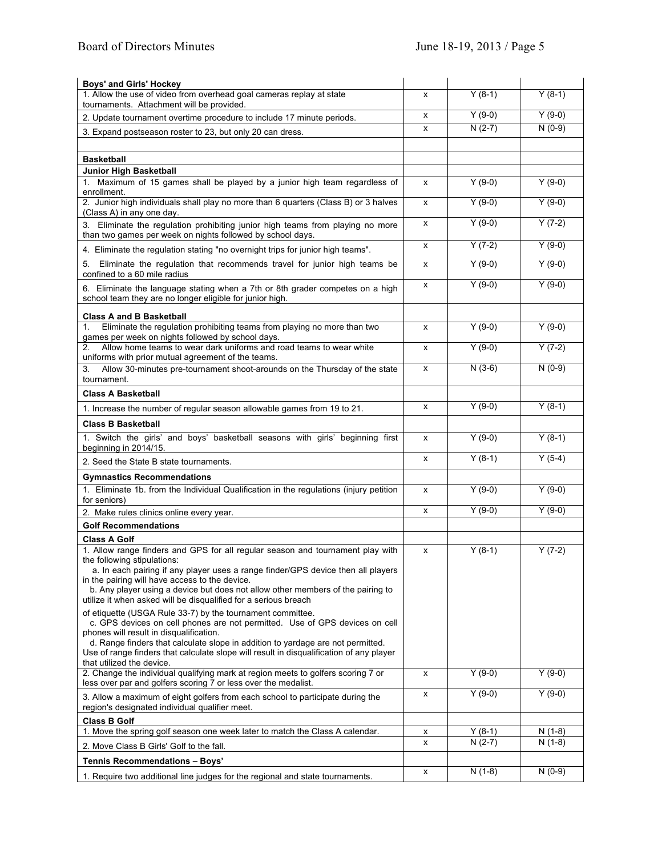| <b>Boys' and Girls' Hockey</b>                                                                                                                                                                                                                                                                                          |   |          |          |
|-------------------------------------------------------------------------------------------------------------------------------------------------------------------------------------------------------------------------------------------------------------------------------------------------------------------------|---|----------|----------|
| 1. Allow the use of video from overhead goal cameras replay at state<br>tournaments. Attachment will be provided.                                                                                                                                                                                                       | x | $Y(8-1)$ | $Y(8-1)$ |
| 2. Update tournament overtime procedure to include 17 minute periods.                                                                                                                                                                                                                                                   | x | $Y(9-0)$ | $Y(9-0)$ |
| 3. Expand postseason roster to 23, but only 20 can dress.                                                                                                                                                                                                                                                               | x | $N(2-7)$ | $N(0-9)$ |
|                                                                                                                                                                                                                                                                                                                         |   |          |          |
| <b>Basketball</b>                                                                                                                                                                                                                                                                                                       |   |          |          |
| Junior High Basketball<br>1. Maximum of 15 games shall be played by a junior high team regardless of<br>enrollment.                                                                                                                                                                                                     | x | $Y(9-0)$ | $Y(9-0)$ |
| 2. Junior high individuals shall play no more than 6 quarters (Class B) or 3 halves<br>(Class A) in any one day.                                                                                                                                                                                                        | x | $Y(9-0)$ | $Y(9-0)$ |
| 3. Eliminate the regulation prohibiting junior high teams from playing no more<br>than two games per week on nights followed by school days.                                                                                                                                                                            | x | $Y(9-0)$ | $Y(7-2)$ |
| 4. Eliminate the regulation stating "no overnight trips for junior high teams".                                                                                                                                                                                                                                         | x | $Y(7-2)$ | $Y(9-0)$ |
| 5. Eliminate the regulation that recommends travel for junior high teams be<br>confined to a 60 mile radius                                                                                                                                                                                                             | x | $Y(9-0)$ | $Y(9-0)$ |
| 6. Eliminate the language stating when a 7th or 8th grader competes on a high<br>school team they are no longer eligible for junior high.                                                                                                                                                                               | x | $Y(9-0)$ | $Y(9-0)$ |
| <b>Class A and B Basketball</b>                                                                                                                                                                                                                                                                                         |   |          |          |
| Eliminate the regulation prohibiting teams from playing no more than two<br>1.<br>games per week on nights followed by school days.                                                                                                                                                                                     | x | $Y(9-0)$ | $Y(9-0)$ |
| Allow home teams to wear dark uniforms and road teams to wear white<br>2.<br>uniforms with prior mutual agreement of the teams.                                                                                                                                                                                         | x | $Y(9-0)$ | $Y(7-2)$ |
| Allow 30-minutes pre-tournament shoot-arounds on the Thursday of the state<br>3.<br>tournament.                                                                                                                                                                                                                         | X | $N(3-6)$ | $N(0-9)$ |
| <b>Class A Basketball</b>                                                                                                                                                                                                                                                                                               |   |          |          |
| 1. Increase the number of regular season allowable games from 19 to 21.                                                                                                                                                                                                                                                 | x | $Y(9-0)$ | $Y(8-1)$ |
| <b>Class B Basketball</b>                                                                                                                                                                                                                                                                                               |   |          |          |
| 1. Switch the girls' and boys' basketball seasons with girls' beginning first<br>beginning in 2014/15.                                                                                                                                                                                                                  | x | $Y(9-0)$ | $Y(8-1)$ |
| 2. Seed the State B state tournaments.                                                                                                                                                                                                                                                                                  | x | $Y(8-1)$ | $Y(5-4)$ |
| <b>Gymnastics Recommendations</b>                                                                                                                                                                                                                                                                                       |   |          |          |
| 1. Eliminate 1b. from the Individual Qualification in the regulations (injury petition<br>for seniors)                                                                                                                                                                                                                  | x | $Y(9-0)$ | $Y(9-0)$ |
| 2. Make rules clinics online every year.                                                                                                                                                                                                                                                                                | x | $Y(9-0)$ | $Y(9-0)$ |
| <b>Golf Recommendations</b>                                                                                                                                                                                                                                                                                             |   |          |          |
| <b>Class A Golf</b><br>1. Allow range finders and GPS for all regular season and tournament play with                                                                                                                                                                                                                   | x | $Y(8-1)$ | $Y(7-2)$ |
| the following stipulations:<br>a. In each pairing if any player uses a range finder/GPS device then all players<br>in the pairing will have access to the device.<br>b. Any player using a device but does not allow other members of the pairing to<br>utilize it when asked will be disqualified for a serious breach |   |          |          |
| of etiquette (USGA Rule 33-7) by the tournament committee.<br>c. GPS devices on cell phones are not permitted. Use of GPS devices on cell<br>phones will result in disqualification.                                                                                                                                    |   |          |          |
| d. Range finders that calculate slope in addition to yardage are not permitted.<br>Use of range finders that calculate slope will result in disqualification of any player<br>that utilized the device.                                                                                                                 |   |          |          |
| 2. Change the individual qualifying mark at region meets to golfers scoring 7 or<br>less over par and golfers scoring 7 or less over the medalist.                                                                                                                                                                      | x | $Y(9-0)$ | $Y(9-0)$ |
| 3. Allow a maximum of eight golfers from each school to participate during the<br>region's designated individual qualifier meet.                                                                                                                                                                                        | х | $Y(9-0)$ | $Y(9-0)$ |
| <b>Class B Golf</b>                                                                                                                                                                                                                                                                                                     |   |          |          |
| 1. Move the spring golf season one week later to match the Class A calendar.                                                                                                                                                                                                                                            | х | $Y(8-1)$ | $N(1-8)$ |
| 2. Move Class B Girls' Golf to the fall.                                                                                                                                                                                                                                                                                | х | $N(2-7)$ | $N(1-8)$ |
| Tennis Recommendations - Boys'                                                                                                                                                                                                                                                                                          |   |          |          |
| 1. Require two additional line judges for the regional and state tournaments.                                                                                                                                                                                                                                           | x | $N(1-8)$ | $N(0-9)$ |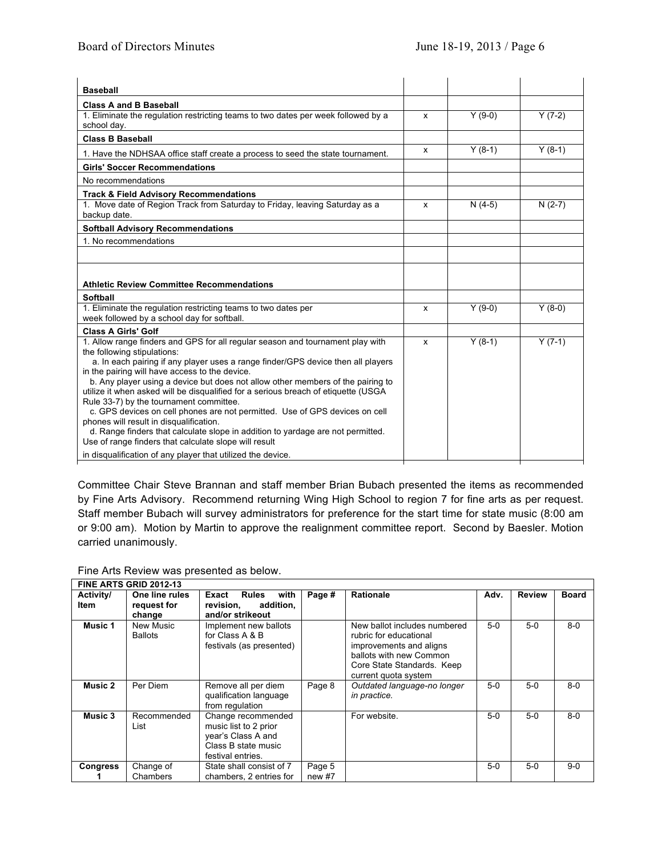| <b>Class A and B Baseball</b>                                                                                                            |   |          |          |
|------------------------------------------------------------------------------------------------------------------------------------------|---|----------|----------|
|                                                                                                                                          |   |          |          |
| 1. Eliminate the regulation restricting teams to two dates per week followed by a                                                        | x | $Y(9-0)$ | $Y(7-2)$ |
| school day.                                                                                                                              |   |          |          |
| <b>Class B Baseball</b>                                                                                                                  |   |          |          |
| 1. Have the NDHSAA office staff create a process to seed the state tournament.                                                           | x | $Y(8-1)$ | $Y(8-1)$ |
| <b>Girls' Soccer Recommendations</b>                                                                                                     |   |          |          |
| No recommendations                                                                                                                       |   |          |          |
| <b>Track &amp; Field Advisory Recommendations</b>                                                                                        |   |          |          |
| 1. Move date of Region Track from Saturday to Friday, leaving Saturday as a<br>backup date.                                              | x | $N(4-5)$ | $N(2-7)$ |
| <b>Softball Advisory Recommendations</b>                                                                                                 |   |          |          |
| 1. No recommendations                                                                                                                    |   |          |          |
|                                                                                                                                          |   |          |          |
|                                                                                                                                          |   |          |          |
| <b>Athletic Review Committee Recommendations</b>                                                                                         |   |          |          |
| <b>Softball</b>                                                                                                                          |   |          |          |
| 1. Eliminate the regulation restricting teams to two dates per                                                                           | x | $Y(9-0)$ | $Y(8-0)$ |
| week followed by a school day for softball.                                                                                              |   |          |          |
| <b>Class A Girls' Golf</b>                                                                                                               |   |          |          |
| 1. Allow range finders and GPS for all regular season and tournament play with                                                           | X | $Y(8-1)$ | $Y(7-1)$ |
| the following stipulations:<br>a. In each pairing if any player uses a range finder/GPS device then all players                          |   |          |          |
| in the pairing will have access to the device.                                                                                           |   |          |          |
| b. Any player using a device but does not allow other members of the pairing to                                                          |   |          |          |
| utilize it when asked will be disqualified for a serious breach of etiquette (USGA                                                       |   |          |          |
| Rule 33-7) by the tournament committee.                                                                                                  |   |          |          |
| c. GPS devices on cell phones are not permitted. Use of GPS devices on cell                                                              |   |          |          |
| phones will result in disqualification.                                                                                                  |   |          |          |
| d. Range finders that calculate slope in addition to yardage are not permitted.<br>Use of range finders that calculate slope will result |   |          |          |
| in disqualification of any player that utilized the device.                                                                              |   |          |          |

Committee Chair Steve Brannan and staff member Brian Bubach presented the items as recommended by Fine Arts Advisory. Recommend returning Wing High School to region 7 for fine arts as per request. Staff member Bubach will survey administrators for preference for the start time for state music (8:00 am or 9:00 am). Motion by Martin to approve the realignment committee report. Second by Baesler. Motion carried unanimously.

## Fine Arts Review was presented as below.

|                          | FINE ARTS GRID 2012-13                  |                                                                                                               |                  |                                                                                                                                                                    |       |               |              |
|--------------------------|-----------------------------------------|---------------------------------------------------------------------------------------------------------------|------------------|--------------------------------------------------------------------------------------------------------------------------------------------------------------------|-------|---------------|--------------|
| <b>Activity/</b><br>Item | One line rules<br>request for<br>change | <b>Rules</b><br>with<br>Exact<br>addition,<br>revision,<br>and/or strikeout                                   | Page #           | <b>Rationale</b>                                                                                                                                                   | Adv.  | <b>Review</b> | <b>Board</b> |
| Music 1                  | New Music<br><b>Ballots</b>             | Implement new ballots<br>for Class A & B<br>festivals (as presented)                                          |                  | New ballot includes numbered<br>rubric for educational<br>improvements and aligns<br>ballots with new Common<br>Core State Standards. Keep<br>current quota system | $5-0$ | $5-0$         | $8-0$        |
| Music 2                  | Per Diem                                | Remove all per diem<br>qualification language<br>from regulation                                              | Page 8           | Outdated language-no longer<br>in practice.                                                                                                                        | $5-0$ | $5-0$         | $8 - 0$      |
| Music 3                  | Recommended<br>List                     | Change recommended<br>music list to 2 prior<br>year's Class A and<br>Class B state music<br>festival entries. |                  | For website.                                                                                                                                                       | $5-0$ | $5-0$         | $8-0$        |
| <b>Congress</b>          | Change of<br>Chambers                   | State shall consist of 7<br>chambers, 2 entries for                                                           | Page 5<br>new #7 |                                                                                                                                                                    | $5-0$ | $5-0$         | $9-0$        |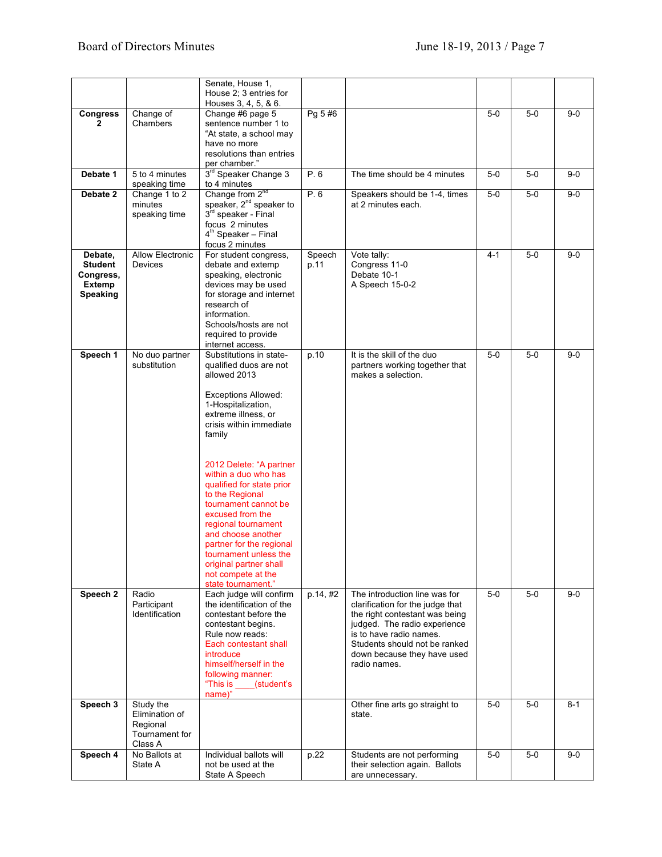|                                                                     |                                                                      | Senate, House 1,<br>House 2; 3 entries for                                                                                                                                                                                                                                                                                                                                                                                                                                                               |                |                                                                                                                                                                                                                                                |         |       |         |
|---------------------------------------------------------------------|----------------------------------------------------------------------|----------------------------------------------------------------------------------------------------------------------------------------------------------------------------------------------------------------------------------------------------------------------------------------------------------------------------------------------------------------------------------------------------------------------------------------------------------------------------------------------------------|----------------|------------------------------------------------------------------------------------------------------------------------------------------------------------------------------------------------------------------------------------------------|---------|-------|---------|
|                                                                     |                                                                      | Houses 3, 4, 5, & 6.                                                                                                                                                                                                                                                                                                                                                                                                                                                                                     |                |                                                                                                                                                                                                                                                |         |       |         |
| <b>Congress</b>                                                     | Change of<br>Chambers                                                | Change #6 page 5<br>sentence number 1 to<br>"At state, a school may<br>have no more                                                                                                                                                                                                                                                                                                                                                                                                                      | Pg 5 #6        |                                                                                                                                                                                                                                                | $5-0$   | $5-0$ | $9-0$   |
|                                                                     |                                                                      | resolutions than entries<br>per chamber."                                                                                                                                                                                                                                                                                                                                                                                                                                                                |                |                                                                                                                                                                                                                                                |         |       |         |
| Debate 1                                                            | 5 to 4 minutes<br>speaking time                                      | 3 <sup>rd</sup> Speaker Change 3<br>to 4 minutes                                                                                                                                                                                                                                                                                                                                                                                                                                                         | P. 6           | The time should be 4 minutes                                                                                                                                                                                                                   | $5-0$   | $5-0$ | $9 - 0$ |
| Debate 2                                                            | Change 1 to 2<br>minutes<br>speaking time                            | Change from $2^{nd}$<br>speaker, $2^{nd}$ speaker to<br>3rd speaker - Final<br>focus 2 minutes<br>$4th$ Speaker – Final<br>focus 2 minutes                                                                                                                                                                                                                                                                                                                                                               | P.6            | Speakers should be 1-4, times<br>at 2 minutes each.                                                                                                                                                                                            | $5-0$   | $5-0$ | $9-0$   |
| Debate,<br><b>Student</b><br>Congress,<br>Extemp<br><b>Speaking</b> | <b>Allow Electronic</b><br>Devices                                   | For student congress,<br>debate and extemp<br>speaking, electronic<br>devices may be used<br>for storage and internet<br>research of<br>information.<br>Schools/hosts are not<br>required to provide<br>internet access.                                                                                                                                                                                                                                                                                 | Speech<br>p.11 | Vote tally:<br>Congress 11-0<br>Debate 10-1<br>A Speech 15-0-2                                                                                                                                                                                 | $4 - 1$ | $5-0$ | $9-0$   |
| Speech 1                                                            | No duo partner<br>substitution                                       | Substitutions in state-<br>qualified duos are not<br>allowed 2013<br><b>Exceptions Allowed:</b><br>1-Hospitalization,<br>extreme illness, or<br>crisis within immediate<br>family<br>2012 Delete: "A partner<br>within a duo who has<br>qualified for state prior<br>to the Regional<br>tournament cannot be<br>excused from the<br>regional tournament<br>and choose another<br>partner for the regional<br>tournament unless the<br>original partner shall<br>not compete at the<br>state tournament." | p.10           | It is the skill of the duo<br>partners working together that<br>makes a selection.                                                                                                                                                             | $5-0$   | $5-0$ | $9-0$   |
| Speech 2                                                            | Radio<br>Participant<br>Identification                               | Each judge will confirm<br>the identification of the<br>contestant before the<br>contestant begins.<br>Rule now reads:<br>Each contestant shall<br>introduce<br>himself/herself in the<br>following manner:<br>"This is ____(student's<br>name)"                                                                                                                                                                                                                                                         | p.14, #2       | The introduction line was for<br>clarification for the judge that<br>the right contestant was being<br>judged. The radio experience<br>is to have radio names.<br>Students should not be ranked<br>down because they have used<br>radio names. | $5-0$   | $5-0$ | $9-0$   |
| Speech 3                                                            | Study the<br>Elimination of<br>Regional<br>Tournament for<br>Class A |                                                                                                                                                                                                                                                                                                                                                                                                                                                                                                          |                | Other fine arts go straight to<br>state.                                                                                                                                                                                                       | $5-0$   | $5-0$ | $8 - 1$ |
| Speech 4                                                            | No Ballots at<br>State A                                             | Individual ballots will<br>not be used at the<br>State A Speech                                                                                                                                                                                                                                                                                                                                                                                                                                          | p.22           | Students are not performing<br>their selection again. Ballots<br>are unnecessary.                                                                                                                                                              | $5-0$   | $5-0$ | $9-0$   |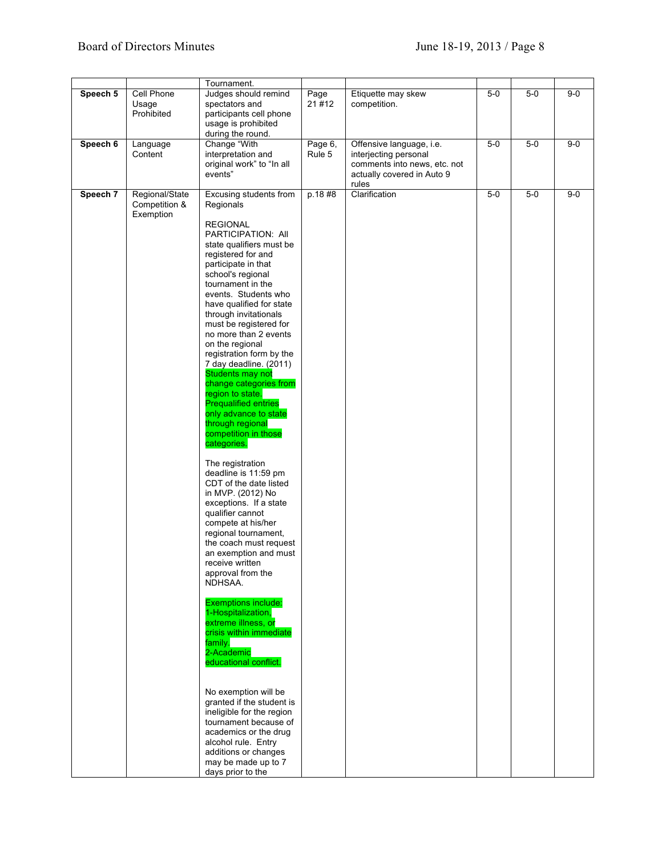|          |                                              | Tournament.                                                                                                                                                                                                                                                                                                                                                                                                                                                                                                                                                                                                                                                                                                                                                                                                                                                                                                                                                                                                                      |                   |                                                                                                                 |       |       |         |
|----------|----------------------------------------------|----------------------------------------------------------------------------------------------------------------------------------------------------------------------------------------------------------------------------------------------------------------------------------------------------------------------------------------------------------------------------------------------------------------------------------------------------------------------------------------------------------------------------------------------------------------------------------------------------------------------------------------------------------------------------------------------------------------------------------------------------------------------------------------------------------------------------------------------------------------------------------------------------------------------------------------------------------------------------------------------------------------------------------|-------------------|-----------------------------------------------------------------------------------------------------------------|-------|-------|---------|
| Speech 5 | Cell Phone<br>Usage<br>Prohibited            | Judges should remind<br>spectators and<br>participants cell phone<br>usage is prohibited<br>during the round.                                                                                                                                                                                                                                                                                                                                                                                                                                                                                                                                                                                                                                                                                                                                                                                                                                                                                                                    | Page<br>21#12     | Etiquette may skew<br>competition.                                                                              | $5-0$ | $5-0$ | $9 - 0$ |
| Speech 6 | Language<br>Content                          | Change "With<br>interpretation and<br>original work" to "In all<br>events"                                                                                                                                                                                                                                                                                                                                                                                                                                                                                                                                                                                                                                                                                                                                                                                                                                                                                                                                                       | Page 6,<br>Rule 5 | Offensive language, i.e.<br>interjecting personal<br>comments into news, etc. not<br>actually covered in Auto 9 | $5-0$ | $5-0$ | $9-0$   |
| Speech 7 | Regional/State<br>Competition &<br>Exemption | Excusing students from<br>Regionals<br><b>REGIONAL</b><br>PARTICIPATION: All<br>state qualifiers must be<br>registered for and<br>participate in that<br>school's regional<br>tournament in the<br>events. Students who<br>have qualified for state<br>through invitationals<br>must be registered for<br>no more than 2 events<br>on the regional<br>registration form by the<br>7 day deadline. (2011)<br><b>Students may not</b><br>change categories from<br>region to state.<br><b>Prequalified entries</b><br>only advance to state<br>through regional<br>competition in those<br>categories.<br>The registration<br>deadline is 11:59 pm<br>CDT of the date listed<br>in MVP. (2012) No<br>exceptions. If a state<br>qualifier cannot<br>compete at his/her<br>regional tournament,<br>the coach must request<br>an exemption and must<br>receive written<br>approval from the<br>NDHSAA.<br><b>Exemptions include:</b><br>1-Hospitalization,<br>extreme illness, or<br>crisis within immediate<br>family.<br>2-Academic | p.18#8            | rules<br>Clarification                                                                                          | $5-0$ | $5-0$ | $9 - 0$ |
|          |                                              | educational conflict.<br>No exemption will be<br>granted if the student is<br>ineligible for the region<br>tournament because of<br>academics or the drug<br>alcohol rule. Entry<br>additions or changes<br>may be made up to 7<br>days prior to the                                                                                                                                                                                                                                                                                                                                                                                                                                                                                                                                                                                                                                                                                                                                                                             |                   |                                                                                                                 |       |       |         |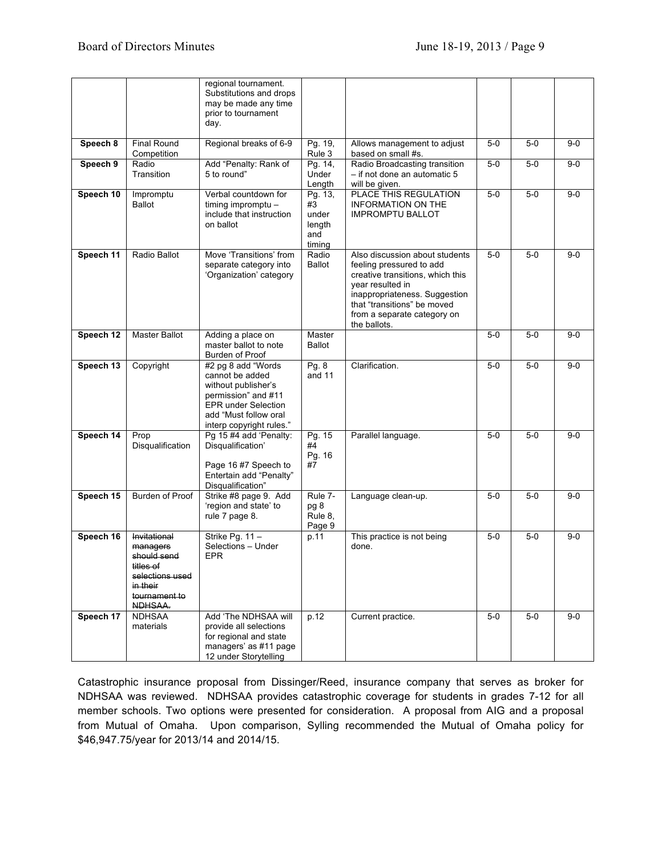|           |                                                                                                                 | regional tournament.<br>Substitutions and drops<br>may be made any time<br>prior to tournament<br>day.                                                                  |                                                   |                                                                                                                                                                                                                                   |       |       |       |
|-----------|-----------------------------------------------------------------------------------------------------------------|-------------------------------------------------------------------------------------------------------------------------------------------------------------------------|---------------------------------------------------|-----------------------------------------------------------------------------------------------------------------------------------------------------------------------------------------------------------------------------------|-------|-------|-------|
| Speech 8  | <b>Final Round</b><br>Competition                                                                               | Regional breaks of 6-9                                                                                                                                                  | Pg. 19,<br>Rule 3                                 | Allows management to adjust<br>based on small #s.                                                                                                                                                                                 | $5-0$ | $5-0$ | $9-0$ |
| Speech 9  | Radio<br>Transition                                                                                             | Add "Penalty: Rank of<br>5 to round"                                                                                                                                    | Pg. 14,<br>Under<br>Length                        | Radio Broadcasting transition<br>- if not done an automatic 5<br>will be given.                                                                                                                                                   | $5-0$ | $5-0$ | $9-0$ |
| Speech 10 | Impromptu<br><b>Ballot</b>                                                                                      | Verbal countdown for<br>timing impromptu -<br>include that instruction<br>on ballot                                                                                     | Pg. 13,<br>#3<br>under<br>length<br>and<br>timing | PLACE THIS REGULATION<br><b>INFORMATION ON THE</b><br><b>IMPROMPTU BALLOT</b>                                                                                                                                                     | $5-0$ | $5-0$ | $9-0$ |
| Speech 11 | Radio Ballot                                                                                                    | Move 'Transitions' from<br>separate category into<br>'Organization' category                                                                                            | Radio<br><b>Ballot</b>                            | Also discussion about students<br>feeling pressured to add<br>creative transitions, which this<br>year resulted in<br>inappropriateness. Suggestion<br>that "transitions" be moved<br>from a separate category on<br>the ballots. | $5-0$ | $5-0$ | $9-0$ |
| Speech 12 | Master Ballot                                                                                                   | Adding a place on<br>master ballot to note<br>Burden of Proof                                                                                                           | Master<br><b>Ballot</b>                           |                                                                                                                                                                                                                                   | $5-0$ | $5-0$ | $9-0$ |
| Speech 13 | Copyright                                                                                                       | #2 pg 8 add "Words"<br>cannot be added<br>without publisher's<br>permission" and #11<br><b>EPR under Selection</b><br>add "Must follow oral<br>interp copyright rules." | Pg. 8<br>and 11                                   | Clarification.                                                                                                                                                                                                                    | $5-0$ | $5-0$ | $9-0$ |
| Speech 14 | Prop<br>Disqualification                                                                                        | Pg 15 #4 add 'Penalty:<br>Disqualification'<br>Page 16 #7 Speech to<br>Entertain add "Penalty"<br>Disqualification"                                                     | Pg. 15<br>#4<br>Pg. 16<br>#7                      | Parallel language.                                                                                                                                                                                                                | $5-0$ | $5-0$ | $9-0$ |
| Speech 15 | Burden of Proof                                                                                                 | Strike #8 page 9. Add<br>'region and state' to<br>rule 7 page 8.                                                                                                        | Rule 7-<br>pg 8<br>Rule 8,<br>Page 9              | Language clean-up.                                                                                                                                                                                                                | $5-0$ | $5-0$ | $9-0$ |
| Speech 16 | Invitational<br>managers<br>should send<br>titles of<br>selections used<br>in their<br>tournament to<br>NDHSAA. | Strike Pg. 11 -<br>Selections - Under<br><b>EPR</b>                                                                                                                     | p.11                                              | This practice is not being<br>done.                                                                                                                                                                                               | $5-0$ | $5-0$ | $9-0$ |
| Speech 17 | <b>NDHSAA</b><br>materials                                                                                      | Add 'The NDHSAA will<br>provide all selections<br>for regional and state<br>managers' as #11 page<br>12 under Storytelling                                              | p.12                                              | Current practice.                                                                                                                                                                                                                 | $5-0$ | $5-0$ | $9-0$ |

Catastrophic insurance proposal from Dissinger/Reed, insurance company that serves as broker for NDHSAA was reviewed. NDHSAA provides catastrophic coverage for students in grades 7-12 for all member schools. Two options were presented for consideration. A proposal from AIG and a proposal from Mutual of Omaha. Upon comparison, Sylling recommended the Mutual of Omaha policy for \$46,947.75/year for 2013/14 and 2014/15.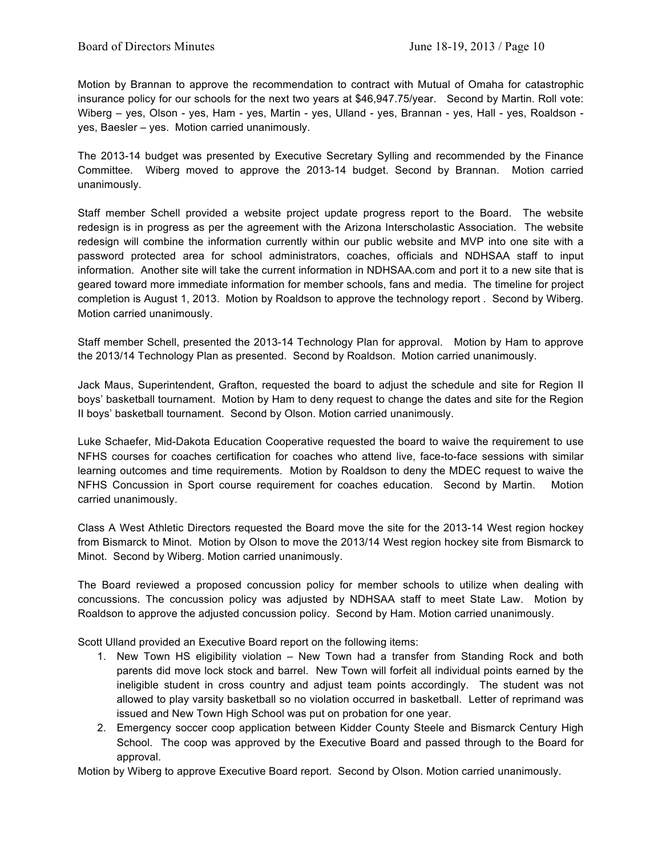Motion by Brannan to approve the recommendation to contract with Mutual of Omaha for catastrophic insurance policy for our schools for the next two years at \$46,947.75/year. Second by Martin. Roll vote: Wiberg – yes, Olson - yes, Ham - yes, Martin - yes, Ulland - yes, Brannan - yes, Hall - yes, Roaldson yes, Baesler – yes. Motion carried unanimously.

The 2013-14 budget was presented by Executive Secretary Sylling and recommended by the Finance Committee. Wiberg moved to approve the 2013-14 budget. Second by Brannan. Motion carried unanimously.

Staff member Schell provided a website project update progress report to the Board. The website redesign is in progress as per the agreement with the Arizona Interscholastic Association. The website redesign will combine the information currently within our public website and MVP into one site with a password protected area for school administrators, coaches, officials and NDHSAA staff to input information. Another site will take the current information in NDHSAA.com and port it to a new site that is geared toward more immediate information for member schools, fans and media. The timeline for project completion is August 1, 2013. Motion by Roaldson to approve the technology report . Second by Wiberg. Motion carried unanimously.

Staff member Schell, presented the 2013-14 Technology Plan for approval. Motion by Ham to approve the 2013/14 Technology Plan as presented. Second by Roaldson. Motion carried unanimously.

Jack Maus, Superintendent, Grafton, requested the board to adjust the schedule and site for Region II boys' basketball tournament. Motion by Ham to deny request to change the dates and site for the Region II boys' basketball tournament. Second by Olson. Motion carried unanimously.

Luke Schaefer, Mid-Dakota Education Cooperative requested the board to waive the requirement to use NFHS courses for coaches certification for coaches who attend live, face-to-face sessions with similar learning outcomes and time requirements. Motion by Roaldson to deny the MDEC request to waive the NFHS Concussion in Sport course requirement for coaches education. Second by Martin. Motion carried unanimously.

Class A West Athletic Directors requested the Board move the site for the 2013-14 West region hockey from Bismarck to Minot. Motion by Olson to move the 2013/14 West region hockey site from Bismarck to Minot. Second by Wiberg. Motion carried unanimously.

The Board reviewed a proposed concussion policy for member schools to utilize when dealing with concussions. The concussion policy was adjusted by NDHSAA staff to meet State Law. Motion by Roaldson to approve the adjusted concussion policy. Second by Ham. Motion carried unanimously.

Scott Ulland provided an Executive Board report on the following items:

- 1. New Town HS eligibility violation New Town had a transfer from Standing Rock and both parents did move lock stock and barrel. New Town will forfeit all individual points earned by the ineligible student in cross country and adjust team points accordingly. The student was not allowed to play varsity basketball so no violation occurred in basketball. Letter of reprimand was issued and New Town High School was put on probation for one year.
- 2. Emergency soccer coop application between Kidder County Steele and Bismarck Century High School. The coop was approved by the Executive Board and passed through to the Board for approval.

Motion by Wiberg to approve Executive Board report. Second by Olson. Motion carried unanimously.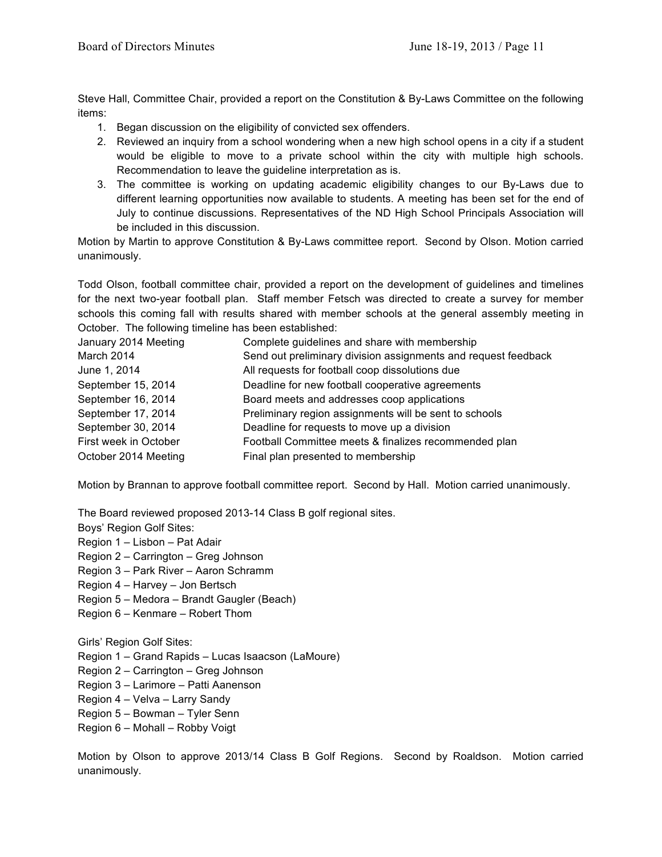Steve Hall, Committee Chair, provided a report on the Constitution & By-Laws Committee on the following items:

- 1. Began discussion on the eligibility of convicted sex offenders.
- 2. Reviewed an inquiry from a school wondering when a new high school opens in a city if a student would be eligible to move to a private school within the city with multiple high schools. Recommendation to leave the guideline interpretation as is.
- 3. The committee is working on updating academic eligibility changes to our By-Laws due to different learning opportunities now available to students. A meeting has been set for the end of July to continue discussions. Representatives of the ND High School Principals Association will be included in this discussion.

Motion by Martin to approve Constitution & By-Laws committee report. Second by Olson. Motion carried unanimously.

Todd Olson, football committee chair, provided a report on the development of guidelines and timelines for the next two-year football plan. Staff member Fetsch was directed to create a survey for member schools this coming fall with results shared with member schools at the general assembly meeting in October. The following timeline has been established:

| January 2014 Meeting  | Complete guidelines and share with membership                  |
|-----------------------|----------------------------------------------------------------|
| March 2014            | Send out preliminary division assignments and request feedback |
| June 1, 2014          | All requests for football coop dissolutions due                |
| September 15, 2014    | Deadline for new football cooperative agreements               |
| September 16, 2014    | Board meets and addresses coop applications                    |
| September 17, 2014    | Preliminary region assignments will be sent to schools         |
| September 30, 2014    | Deadline for requests to move up a division                    |
| First week in October | Football Committee meets & finalizes recommended plan          |
| October 2014 Meeting  | Final plan presented to membership                             |

Motion by Brannan to approve football committee report. Second by Hall. Motion carried unanimously.

The Board reviewed proposed 2013-14 Class B golf regional sites.

Boys' Region Golf Sites:

Region 1 – Lisbon – Pat Adair

- Region 2 Carrington Greg Johnson
- Region 3 Park River Aaron Schramm
- Region 4 Harvey Jon Bertsch
- Region 5 Medora Brandt Gaugler (Beach)
- Region 6 Kenmare Robert Thom

Girls' Region Golf Sites:

- Region 1 Grand Rapids Lucas Isaacson (LaMoure)
- Region 2 Carrington Greg Johnson
- Region 3 Larimore Patti Aanenson
- Region 4 Velva Larry Sandy
- Region 5 Bowman Tyler Senn
- Region 6 Mohall Robby Voigt

Motion by Olson to approve 2013/14 Class B Golf Regions. Second by Roaldson. Motion carried unanimously.